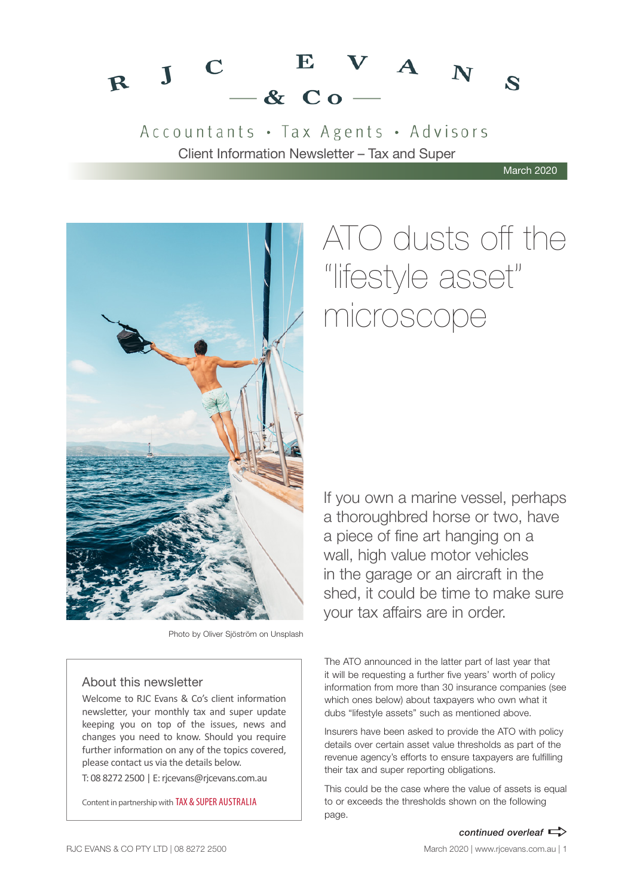

Accountants · Tax Agents · Advisors Client Information Newsletter – Tax and Super

March 2020



Photo by Oliver Sjöström on Unsplash

# About this newsletter

Welcome to RJC Evans & Co's client information newsletter, your monthly tax and super update keeping you on top of the issues, news and changes you need to know. Should you require further information on any of the topics covered, please contact us via the details below.

T: 08 8272 2500 | E: rjcevans@rjcevans.com.au

Content in partnership with TAX & SUPER AUSTRALIA

# ATO dusts off the "lifestyle asset" microscope

If you own a marine vessel, perhaps a thoroughbred horse or two, have a piece of fine art hanging on a wall, high value motor vehicles in the garage or an aircraft in the shed, it could be time to make sure your tax affairs are in order.

The ATO announced in the latter part of last year that it will be requesting a further five years' worth of policy information from more than 30 insurance companies (see which ones below) about taxpayers who own what it dubs "lifestyle assets" such as mentioned above.

Insurers have been asked to provide the ATO with policy details over certain asset value thresholds as part of the revenue agency's efforts to ensure taxpayers are fulfilling their tax and super reporting obligations.

This could be the case where the value of assets is equal to or exceeds the thresholds shown on the following page.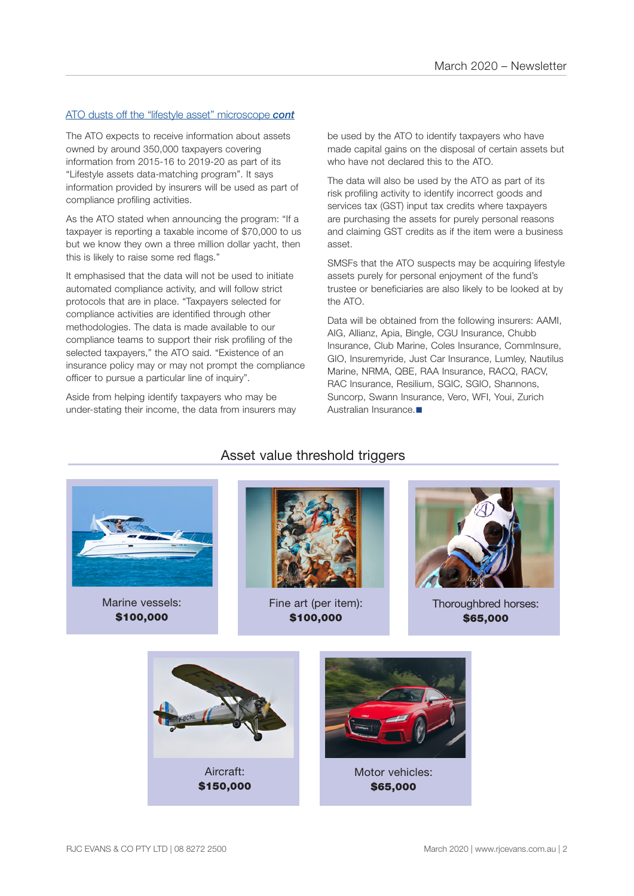# ATO dusts off the "lifestyle asset" microscope *cont*

The ATO expects to receive information about assets owned by around 350,000 taxpayers covering information from 2015-16 to 2019-20 as part of its "Lifestyle assets data-matching program". It says information provided by insurers will be used as part of compliance profiling activities.

As the ATO stated when announcing the program: "If a taxpayer is reporting a taxable income of \$70,000 to us but we know they own a three million dollar yacht, then this is likely to raise some red flags."

It emphasised that the data will not be used to initiate automated compliance activity, and will follow strict protocols that are in place. "Taxpayers selected for compliance activities are identified through other methodologies. The data is made available to our compliance teams to support their risk profiling of the selected taxpayers," the ATO said. "Existence of an insurance policy may or may not prompt the compliance officer to pursue a particular line of inquiry".

Aside from helping identify taxpayers who may be under-stating their income, the data from insurers may be used by the ATO to identify taxpayers who have made capital gains on the disposal of certain assets but who have not declared this to the ATO.

The data will also be used by the ATO as part of its risk profiling activity to identify incorrect goods and services tax (GST) input tax credits where taxpayers are purchasing the assets for purely personal reasons and claiming GST credits as if the item were a business asset.

SMSFs that the ATO suspects may be acquiring lifestyle assets purely for personal enjoyment of the fund's trustee or beneficiaries are also likely to be looked at by the ATO.

Data will be obtained from the following insurers: AAMI, AIG, Allianz, Apia, Bingle, CGU Insurance, Chubb Insurance, Club Marine, Coles Insurance, CommInsure, GIO, Insuremyride, Just Car Insurance, Lumley, Nautilus Marine, NRMA, QBE, RAA Insurance, RACQ, RACV, RAC Insurance, Resilium, SGIC, SGIO, Shannons, Suncorp, Swann Insurance, Vero, WFI, Youi, Zurich Australian Insurance.



Marine vessels: \$100,000



Asset value threshold triggers

Fine art (per item): \$100,000



Thoroughbred horses: \$65,000

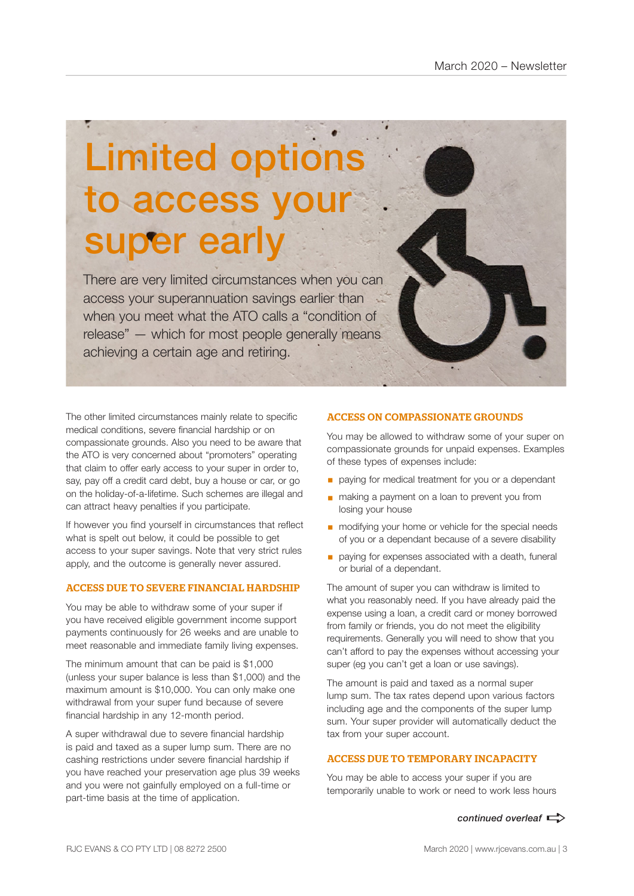# Limited options to access your super early

There are very limited circumstances when you can access your superannuation savings earlier than when you meet what the ATO calls a "condition of release" — which for most people generally means achieving a certain age and retiring.

The other limited circumstances mainly relate to specific medical conditions, severe financial hardship or on compassionate grounds. Also you need to be aware that the ATO is very concerned about "promoters" operating that claim to offer early access to your super in order to, say, pay off a credit card debt, buy a house or car, or go on the holiday-of-a-lifetime. Such schemes are illegal and can attract heavy penalties if you participate.

If however you find yourself in circumstances that reflect what is spelt out below, it could be possible to get access to your super savings. Note that very strict rules apply, and the outcome is generally never assured.

# ACCESS DUE TO SEVERE FINANCIAL HARDSHIP

You may be able to withdraw some of your super if you have received eligible government income support payments continuously for 26 weeks and are unable to meet reasonable and immediate family living expenses.

The minimum amount that can be paid is \$1,000 (unless your super balance is less than \$1,000) and the maximum amount is \$10,000. You can only make one withdrawal from your super fund because of severe financial hardship in any 12-month period.

A super withdrawal due to severe financial hardship is paid and taxed as a super lump sum. There are no cashing restrictions under severe financial hardship if you have reached your preservation age plus 39 weeks and you were not gainfully employed on a full-time or part-time basis at the time of application.

# ACCESS ON COMPASSIONATE GROUNDS

You may be allowed to withdraw some of your super on compassionate grounds for unpaid expenses. Examples of these types of expenses include:

- **•** paying for medical treatment for you or a dependant
- making a payment on a loan to prevent you from losing your house
- modifying your home or vehicle for the special needs of you or a dependant because of a severe disability
- paying for expenses associated with a death, funeral or burial of a dependant.

The amount of super you can withdraw is limited to what you reasonably need. If you have already paid the expense using a loan, a credit card or money borrowed from family or friends, you do not meet the eligibility requirements. Generally you will need to show that you can't afford to pay the expenses without accessing your super (eg you can't get a loan or use savings).

The amount is paid and taxed as a normal super lump sum. The tax rates depend upon various factors including age and the components of the super lump sum. Your super provider will automatically deduct the tax from your super account.

### ACCESS DUE TO TEMPORARY INCAPACITY

You may be able to access your super if you are temporarily unable to work or need to work less hours

*continued overleaf*  $\Rightarrow$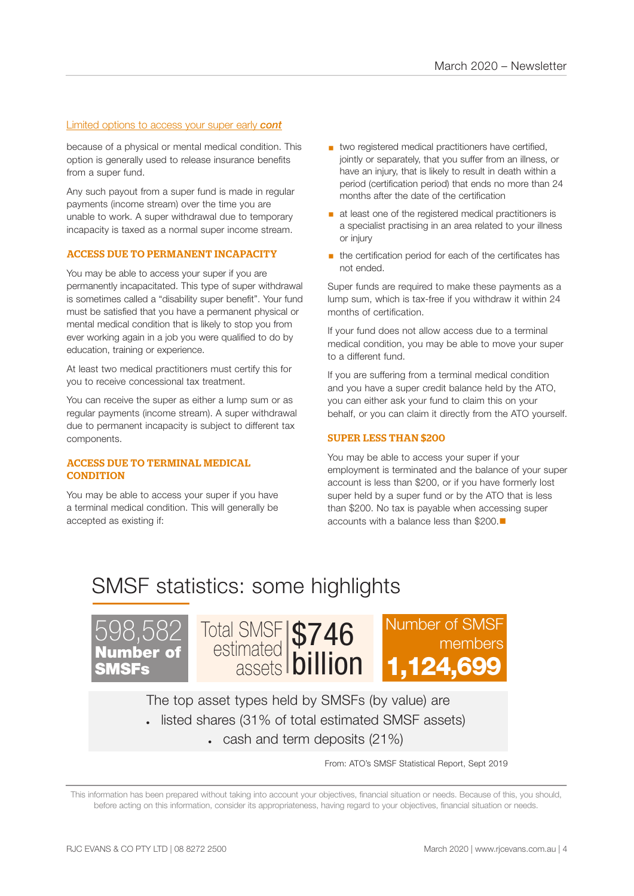# Limited options to access your super early *cont*

because of a physical or mental medical condition. This option is generally used to release insurance benefits from a super fund.

Any such payout from a super fund is made in regular payments (income stream) over the time you are unable to work. A super withdrawal due to temporary incapacity is taxed as a normal super income stream.

### ACCESS DUE TO PERMANENT INCAPACITY

You may be able to access your super if you are permanently incapacitated. This type of super withdrawal is sometimes called a "disability super benefit". Your fund must be satisfied that you have a permanent physical or mental medical condition that is likely to stop you from ever working again in a job you were qualified to do by education, training or experience.

At least two medical practitioners must certify this for you to receive concessional tax treatment.

You can receive the super as either a lump sum or as regular payments (income stream). A super withdrawal due to permanent incapacity is subject to different tax components.

### ACCESS DUE TO TERMINAL MEDICAL **CONDITION**

You may be able to access your super if you have a terminal medical condition. This will generally be accepted as existing if:

- two registered medical practitioners have certified, jointly or separately, that you suffer from an illness, or have an injury, that is likely to result in death within a period (certification period) that ends no more than 24 months after the date of the certification
- at least one of the registered medical practitioners is a specialist practising in an area related to your illness or injury
- the certification period for each of the certificates has not ended.

Super funds are required to make these payments as a lump sum, which is tax-free if you withdraw it within 24 months of certification.

If your fund does not allow access due to a terminal medical condition, you may be able to move your super to a different fund.

If you are suffering from a terminal medical condition and you have a super credit balance held by the ATO, you can either ask your fund to claim this on your behalf, or you can claim it directly from the ATO yourself.

### SUPER LESS THAN \$200

You may be able to access your super if your employment is terminated and the balance of your super account is less than \$200, or if you have formerly lost super held by a super fund or by the ATO that is less than \$200. No tax is payable when accessing super accounts with a balance less than \$200 $\blacksquare$ 

# SMSF statistics: some highlights





The top asset types held by SMSFs (by value) are • listed shares (31% of total estimated SMSF assets)

 $\cdot$  cash and term deposits (21%)

From: ATO's SMSF Statistical Report, Sept 2019

This information has been prepared without taking into account your objectives, financial situation or needs. Because of this, you should, before acting on this information, consider its appropriateness, having regard to your objectives, financial situation or needs.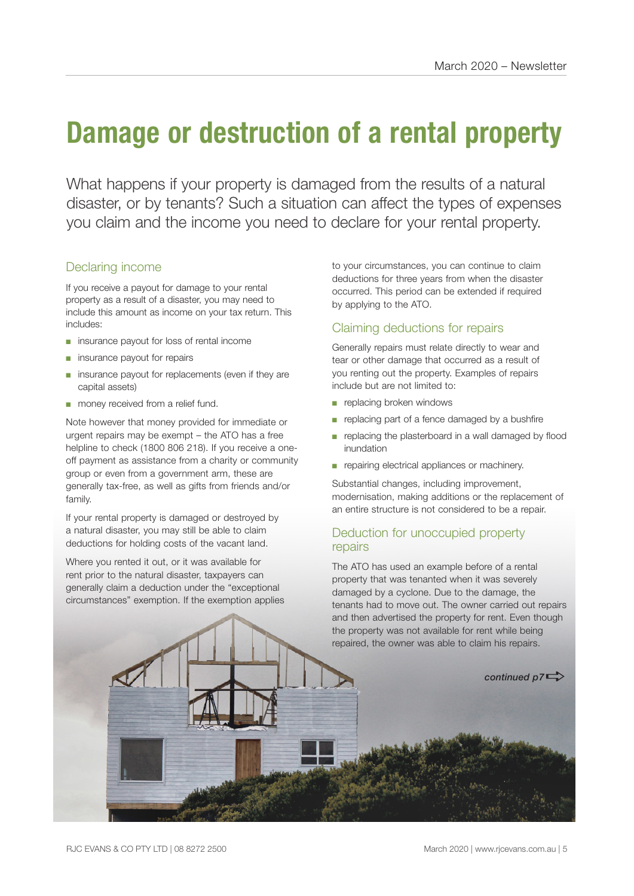# **Damage or destruction of a rental property**

What happens if your property is damaged from the results of a natural disaster, or by tenants? Such a situation can affect the types of expenses you claim and the income you need to declare for your rental property.

# Declaring income

If you receive a payout for damage to your rental property as a result of a disaster, you may need to include this amount as income on your tax return. This includes:

- insurance payout for loss of rental income
- insurance payout for repairs
- insurance payout for replacements (even if they are capital assets)
- money received from a relief fund.

Note however that money provided for immediate or urgent repairs may be exempt – the ATO has a free helpline to check (1800 806 218). If you receive a oneoff payment as assistance from a charity or community group or even from a government arm, these are generally tax-free, as well as gifts from friends and/or family.

If your rental property is damaged or destroyed by a natural disaster, you may still be able to claim deductions for holding costs of the vacant land.

Where you rented it out, or it was available for rent prior to the natural disaster, taxpayers can generally claim a deduction under the "exceptional circumstances" exemption. If the exemption applies to your circumstances, you can continue to claim deductions for three years from when the disaster occurred. This period can be extended if required by applying to the ATO.

# Claiming deductions for repairs

Generally repairs must relate directly to wear and tear or other damage that occurred as a result of you renting out the property. Examples of repairs include but are not limited to:

- replacing broken windows
- replacing part of a fence damaged by a bushfire
- replacing the plasterboard in a wall damaged by flood inundation
- repairing electrical appliances or machinery.

Substantial changes, including improvement, modernisation, making additions or the replacement of an entire structure is not considered to be a repair.

# Deduction for unoccupied property repairs

The ATO has used an example before of a rental property that was tenanted when it was severely damaged by a cyclone. Due to the damage, the tenants had to move out. The owner carried out repairs and then advertised the property for rent. Even though the property was not available for rent while being repaired, the owner was able to claim his repairs.

continued  $p7 \Rightarrow$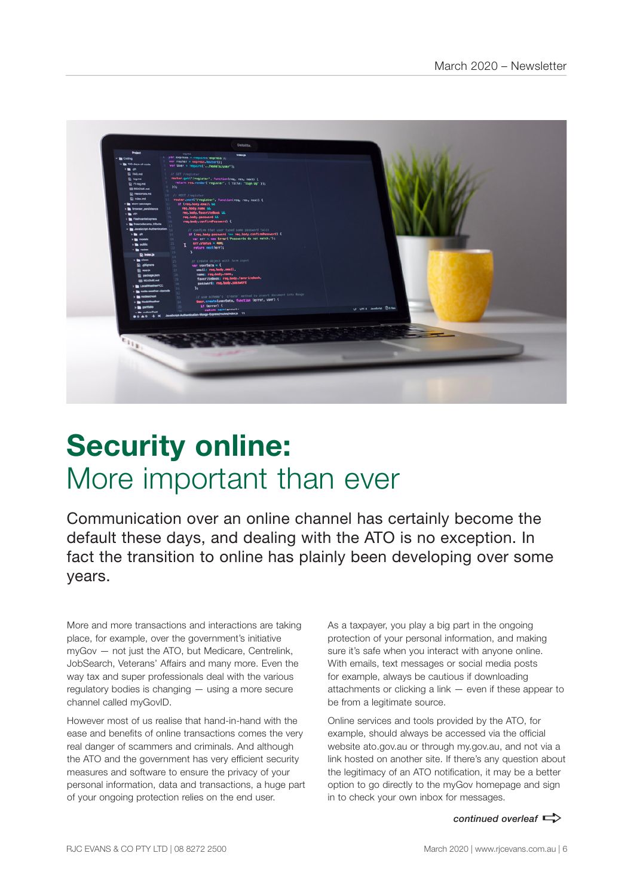

# **Security online:**  More important than ever

Communication over an online channel has certainly become the default these days, and dealing with the ATO is no exception. In fact the transition to online has plainly been developing over some years.

More and more transactions and interactions are taking place, for example, over the government's initiative myGov — not just the ATO, but Medicare, Centrelink, JobSearch, Veterans' Affairs and many more. Even the way tax and super professionals deal with the various regulatory bodies is changing — using a more secure channel called myGovID.

However most of us realise that hand-in-hand with the ease and benefits of online transactions comes the very real danger of scammers and criminals. And although the ATO and the government has very efficient security measures and software to ensure the privacy of your personal information, data and transactions, a huge part of your ongoing protection relies on the end user.

As a taxpayer, you play a big part in the ongoing protection of your personal information, and making sure it's safe when you interact with anyone online. With emails, text messages or social media posts for example, always be cautious if downloading attachments or clicking a link — even if these appear to be from a legitimate source.

Online services and tools provided by the ATO, for example, should always be accessed via the official website ato.gov.au or through my.gov.au, and not via a link hosted on another site. If there's any question about the legitimacy of an ATO notification, it may be a better option to go directly to the myGov homepage and sign in to check your own inbox for messages.

*continued overleaf*  $\Rightarrow$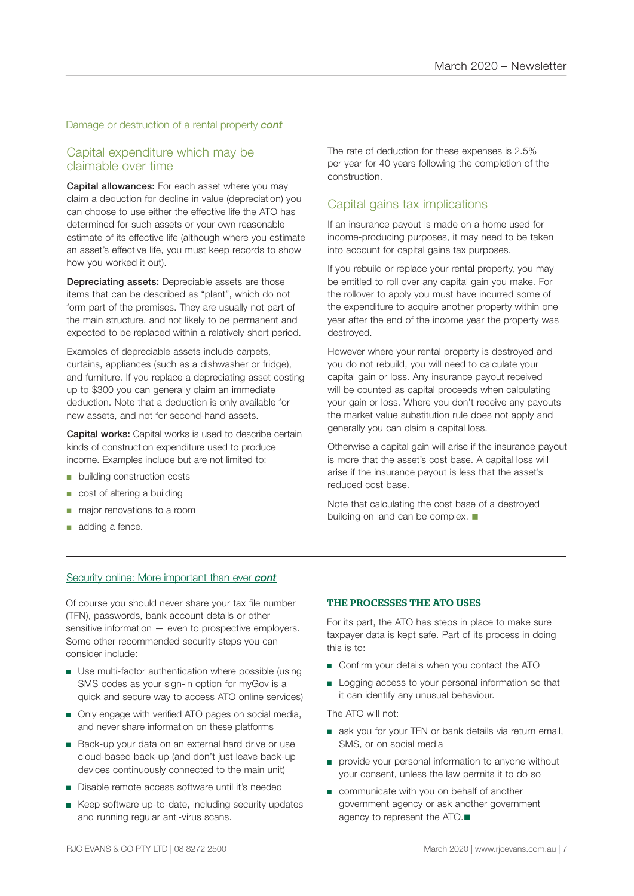# Damage or destruction of a rental property *cont*

# Capital expenditure which may be claimable over time

Capital allowances: For each asset where you may claim a deduction for decline in value (depreciation) you can choose to use either the effective life the ATO has determined for such assets or your own reasonable estimate of its effective life (although where you estimate an asset's effective life, you must keep records to show how you worked it out).

Depreciating assets: Depreciable assets are those items that can be described as "plant", which do not form part of the premises. They are usually not part of the main structure, and not likely to be permanent and expected to be replaced within a relatively short period.

Examples of depreciable assets include carpets, curtains, appliances (such as a dishwasher or fridge), and furniture. If you replace a depreciating asset costing up to \$300 you can generally claim an immediate deduction. Note that a deduction is only available for new assets, and not for second-hand assets.

Capital works: Capital works is used to describe certain kinds of construction expenditure used to produce income. Examples include but are not limited to:

- building construction costs
- cost of altering a building
- major renovations to a room
- adding a fence.

The rate of deduction for these expenses is 2.5% per year for 40 years following the completion of the construction.

# Capital gains tax implications

If an insurance payout is made on a home used for income-producing purposes, it may need to be taken into account for capital gains tax purposes.

If you rebuild or replace your rental property, you may be entitled to roll over any capital gain you make. For the rollover to apply you must have incurred some of the expenditure to acquire another property within one year after the end of the income year the property was destroyed.

However where your rental property is destroyed and you do not rebuild, you will need to calculate your capital gain or loss. Any insurance payout received will be counted as capital proceeds when calculating your gain or loss. Where you don't receive any payouts the market value substitution rule does not apply and generally you can claim a capital loss.

Otherwise a capital gain will arise if the insurance payout is more that the asset's cost base. A capital loss will arise if the insurance payout is less that the asset's reduced cost base.

Note that calculating the cost base of a destroyed building on land can be complex.  $\blacksquare$ 

# Security online: More important than ever *cont*

Of course you should never share your tax file number (TFN), passwords, bank account details or other sensitive information — even to prospective employers. Some other recommended security steps you can consider include:

- Use multi-factor authentication where possible (using SMS codes as your sign-in option for myGov is a quick and secure way to access ATO online services)
- Only engage with verified ATO pages on social media, and never share information on these platforms
- Back-up your data on an external hard drive or use cloud-based back-up (and don't just leave back-up devices continuously connected to the main unit)
- Disable remote access software until it's needed
- Keep software up-to-date, including security updates and running regular anti-virus scans.

#### THE PROCESSES THE ATO USES

For its part, the ATO has steps in place to make sure taxpayer data is kept safe. Part of its process in doing this is to:

- Confirm your details when you contact the ATO
- Logging access to your personal information so that it can identify any unusual behaviour.

The ATO will not:

- ask you for your TFN or bank details via return email, SMS, or on social media
- provide your personal information to anyone without your consent, unless the law permits it to do so
- communicate with you on behalf of another government agency or ask another government agency to represent the ATO. $\blacksquare$